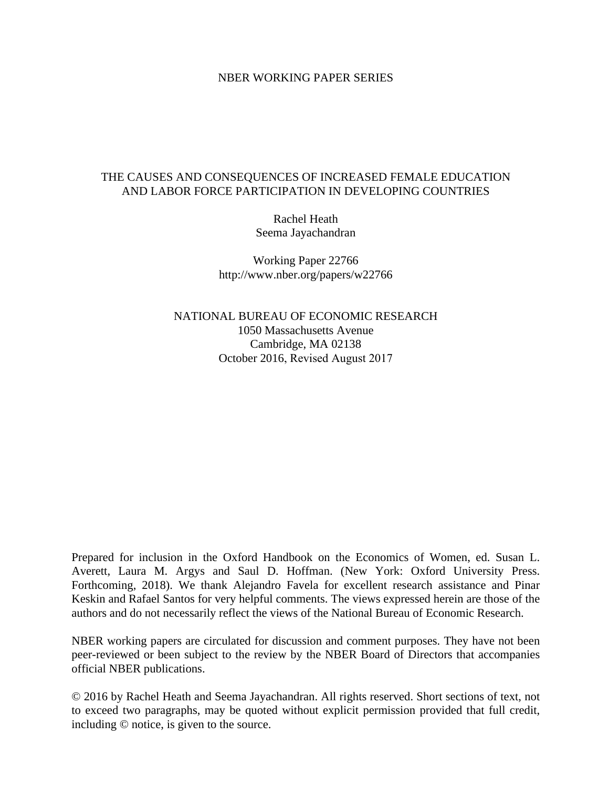### NBER WORKING PAPER SERIES

## THE CAUSES AND CONSEQUENCES OF INCREASED FEMALE EDUCATION AND LABOR FORCE PARTICIPATION IN DEVELOPING COUNTRIES

Rachel Heath Seema Jayachandran

Working Paper 22766 http://www.nber.org/papers/w22766

NATIONAL BUREAU OF ECONOMIC RESEARCH 1050 Massachusetts Avenue Cambridge, MA 02138 October 2016, Revised August 2017

Prepared for inclusion in the Oxford Handbook on the Economics of Women, ed. Susan L. Averett, Laura M. Argys and Saul D. Hoffman. (New York: Oxford University Press. Forthcoming, 2018). We thank Alejandro Favela for excellent research assistance and Pinar Keskin and Rafael Santos for very helpful comments. The views expressed herein are those of the authors and do not necessarily reflect the views of the National Bureau of Economic Research.

NBER working papers are circulated for discussion and comment purposes. They have not been peer-reviewed or been subject to the review by the NBER Board of Directors that accompanies official NBER publications.

© 2016 by Rachel Heath and Seema Jayachandran. All rights reserved. Short sections of text, not to exceed two paragraphs, may be quoted without explicit permission provided that full credit, including © notice, is given to the source.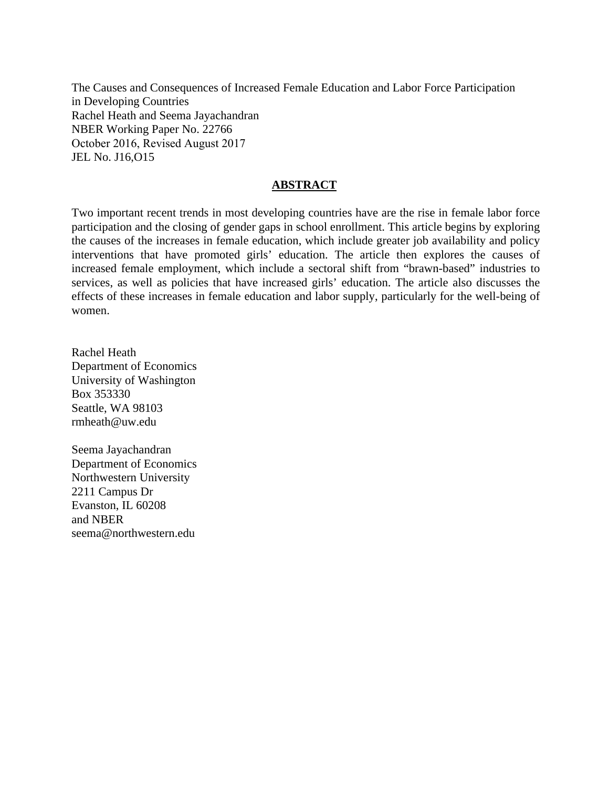The Causes and Consequences of Increased Female Education and Labor Force Participation in Developing Countries Rachel Heath and Seema Jayachandran NBER Working Paper No. 22766 October 2016, Revised August 2017 JEL No. J16,O15

## **ABSTRACT**

Two important recent trends in most developing countries have are the rise in female labor force participation and the closing of gender gaps in school enrollment. This article begins by exploring the causes of the increases in female education, which include greater job availability and policy interventions that have promoted girls' education. The article then explores the causes of increased female employment, which include a sectoral shift from "brawn-based" industries to services, as well as policies that have increased girls' education. The article also discusses the effects of these increases in female education and labor supply, particularly for the well-being of women.

Rachel Heath Department of Economics University of Washington Box 353330 Seattle, WA 98103 rmheath@uw.edu

Seema Jayachandran Department of Economics Northwestern University 2211 Campus Dr Evanston, IL 60208 and NBER seema@northwestern.edu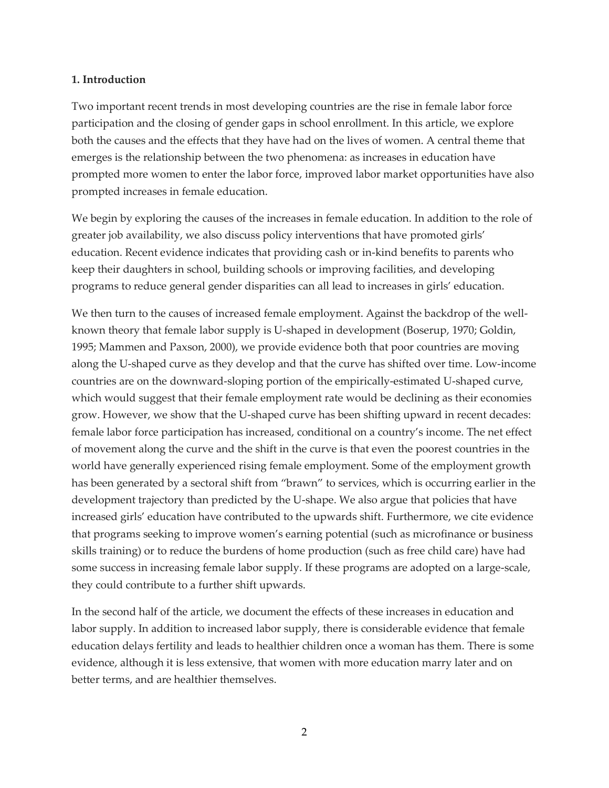## **1. Introduction**

Two important recent trends in most developing countries are the rise in female labor force participation and the closing of gender gaps in school enrollment. In this article, we explore both the causes and the effects that they have had on the lives of women. A central theme that emerges is the relationship between the two phenomena: as increases in education have prompted more women to enter the labor force, improved labor market opportunities have also prompted increases in female education.

We begin by exploring the causes of the increases in female education. In addition to the role of greater job availability, we also discuss policy interventions that have promoted girls' education. Recent evidence indicates that providing cash or in-kind benefits to parents who keep their daughters in school, building schools or improving facilities, and developing programs to reduce general gender disparities can all lead to increases in girls' education.

We then turn to the causes of increased female employment. Against the backdrop of the wellknown theory that female labor supply is U-shaped in development (Boserup, 1970; Goldin, 1995; Mammen and Paxson, 2000), we provide evidence both that poor countries are moving along the U-shaped curve as they develop and that the curve has shifted over time. Low-income countries are on the downward-sloping portion of the empirically-estimated U-shaped curve, which would suggest that their female employment rate would be declining as their economies grow. However, we show that the U-shaped curve has been shifting upward in recent decades: female labor force participation has increased, conditional on a country's income. The net effect of movement along the curve and the shift in the curve is that even the poorest countries in the world have generally experienced rising female employment. Some of the employment growth has been generated by a sectoral shift from "brawn" to services, which is occurring earlier in the development trajectory than predicted by the U-shape. We also argue that policies that have increased girls' education have contributed to the upwards shift. Furthermore, we cite evidence that programs seeking to improve women's earning potential (such as microfinance or business skills training) or to reduce the burdens of home production (such as free child care) have had some success in increasing female labor supply. If these programs are adopted on a large-scale, they could contribute to a further shift upwards.

In the second half of the article, we document the effects of these increases in education and labor supply. In addition to increased labor supply, there is considerable evidence that female education delays fertility and leads to healthier children once a woman has them. There is some evidence, although it is less extensive, that women with more education marry later and on better terms, and are healthier themselves.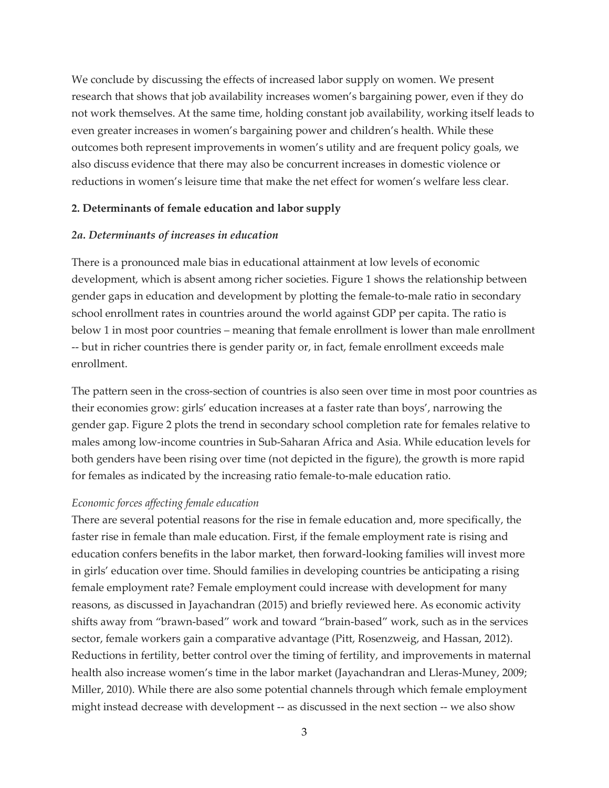We conclude by discussing the effects of increased labor supply on women. We present research that shows that job availability increases women's bargaining power, even if they do not work themselves. At the same time, holding constant job availability, working itself leads to even greater increases in women's bargaining power and children's health. While these outcomes both represent improvements in women's utility and are frequent policy goals, we also discuss evidence that there may also be concurrent increases in domestic violence or reductions in women's leisure time that make the net effect for women's welfare less clear.

### **2. Determinants of female education and labor supply**

#### *2a. Determinants of increases in education*

There is a pronounced male bias in educational attainment at low levels of economic development, which is absent among richer societies. Figure 1 shows the relationship between gender gaps in education and development by plotting the female-to-male ratio in secondary school enrollment rates in countries around the world against GDP per capita. The ratio is below 1 in most poor countries – meaning that female enrollment is lower than male enrollment -- but in richer countries there is gender parity or, in fact, female enrollment exceeds male enrollment.

The pattern seen in the cross-section of countries is also seen over time in most poor countries as their economies grow: girls' education increases at a faster rate than boys', narrowing the gender gap. Figure 2 plots the trend in secondary school completion rate for females relative to males among low-income countries in Sub-Saharan Africa and Asia. While education levels for both genders have been rising over time (not depicted in the figure), the growth is more rapid for females as indicated by the increasing ratio female-to-male education ratio.

#### *Economic forces affecting female education*

There are several potential reasons for the rise in female education and, more specifically, the faster rise in female than male education. First, if the female employment rate is rising and education confers benefits in the labor market, then forward-looking families will invest more in girls' education over time. Should families in developing countries be anticipating a rising female employment rate? Female employment could increase with development for many reasons, as discussed in Jayachandran (2015) and briefly reviewed here. As economic activity shifts away from "brawn-based" work and toward "brain-based" work, such as in the services sector, female workers gain a comparative advantage (Pitt, Rosenzweig, and Hassan, 2012). Reductions in fertility, better control over the timing of fertility, and improvements in maternal health also increase women's time in the labor market (Jayachandran and Lleras-Muney, 2009; Miller, 2010). While there are also some potential channels through which female employment might instead decrease with development -- as discussed in the next section -- we also show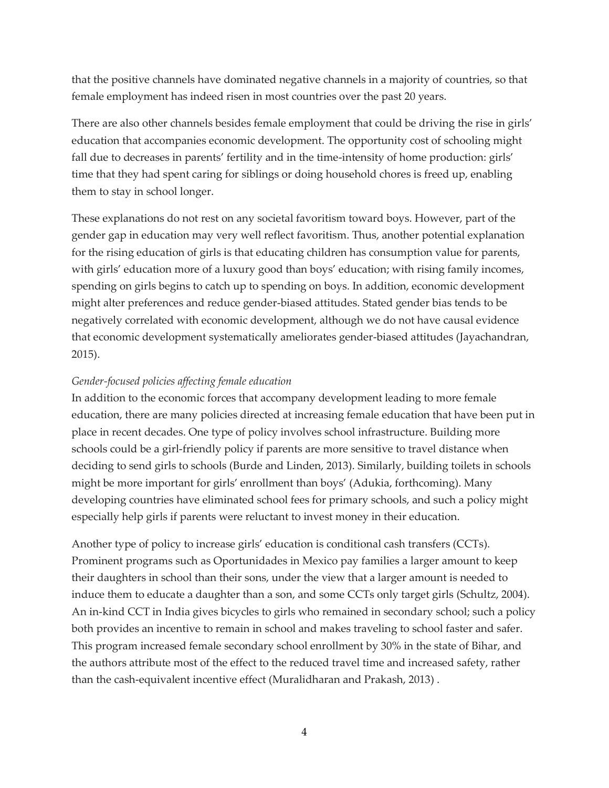that the positive channels have dominated negative channels in a majority of countries, so that female employment has indeed risen in most countries over the past 20 years.

There are also other channels besides female employment that could be driving the rise in girls' education that accompanies economic development. The opportunity cost of schooling might fall due to decreases in parents' fertility and in the time-intensity of home production: girls' time that they had spent caring for siblings or doing household chores is freed up, enabling them to stay in school longer.

These explanations do not rest on any societal favoritism toward boys. However, part of the gender gap in education may very well reflect favoritism. Thus, another potential explanation for the rising education of girls is that educating children has consumption value for parents, with girls' education more of a luxury good than boys' education; with rising family incomes, spending on girls begins to catch up to spending on boys. In addition, economic development might alter preferences and reduce gender-biased attitudes. Stated gender bias tends to be negatively correlated with economic development, although we do not have causal evidence that economic development systematically ameliorates gender-biased attitudes (Jayachandran, 2015).

## *Gender-focused policies affecting female education*

In addition to the economic forces that accompany development leading to more female education, there are many policies directed at increasing female education that have been put in place in recent decades. One type of policy involves school infrastructure. Building more schools could be a girl-friendly policy if parents are more sensitive to travel distance when deciding to send girls to schools (Burde and Linden, 2013). Similarly, building toilets in schools might be more important for girls' enrollment than boys' (Adukia, forthcoming). Many developing countries have eliminated school fees for primary schools, and such a policy might especially help girls if parents were reluctant to invest money in their education.

Another type of policy to increase girls' education is conditional cash transfers (CCTs). Prominent programs such as Oportunidades in Mexico pay families a larger amount to keep their daughters in school than their sons, under the view that a larger amount is needed to induce them to educate a daughter than a son, and some CCTs only target girls (Schultz, 2004). An in-kind CCT in India gives bicycles to girls who remained in secondary school; such a policy both provides an incentive to remain in school and makes traveling to school faster and safer. This program increased female secondary school enrollment by 30% in the state of Bihar, and the authors attribute most of the effect to the reduced travel time and increased safety, rather than the cash-equivalent incentive effect (Muralidharan and Prakash, 2013) .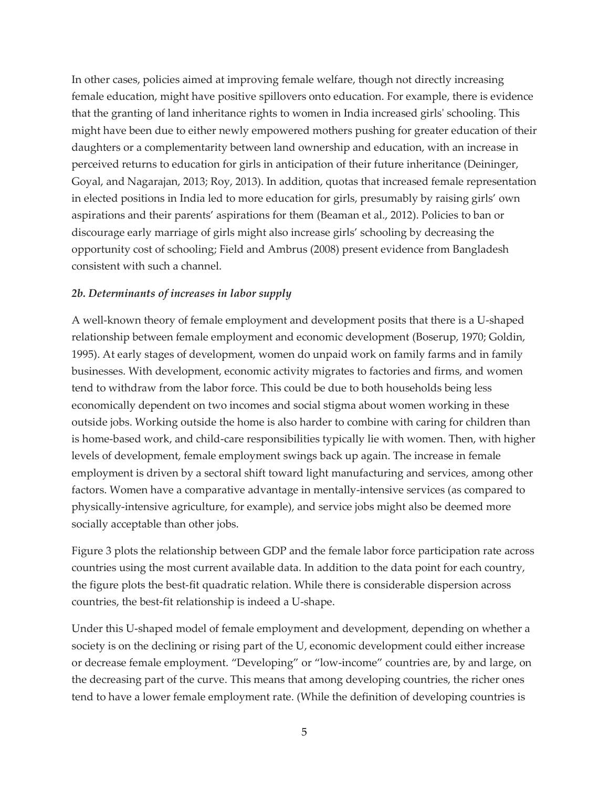In other cases, policies aimed at improving female welfare, though not directly increasing female education, might have positive spillovers onto education. For example, there is evidence that the granting of land inheritance rights to women in India increased girls' schooling. This might have been due to either newly empowered mothers pushing for greater education of their daughters or a complementarity between land ownership and education, with an increase in perceived returns to education for girls in anticipation of their future inheritance (Deininger, Goyal, and Nagarajan, 2013; Roy, 2013). In addition, quotas that increased female representation in elected positions in India led to more education for girls, presumably by raising girls' own aspirations and their parents' aspirations for them (Beaman et al., 2012). Policies to ban or discourage early marriage of girls might also increase girls' schooling by decreasing the opportunity cost of schooling; Field and Ambrus (2008) present evidence from Bangladesh consistent with such a channel.

## *2b. Determinants of increases in labor supply*

A well-known theory of female employment and development posits that there is a U-shaped relationship between female employment and economic development (Boserup, 1970; Goldin, 1995). At early stages of development, women do unpaid work on family farms and in family businesses. With development, economic activity migrates to factories and firms, and women tend to withdraw from the labor force. This could be due to both households being less economically dependent on two incomes and social stigma about women working in these outside jobs. Working outside the home is also harder to combine with caring for children than is home-based work, and child-care responsibilities typically lie with women. Then, with higher levels of development, female employment swings back up again. The increase in female employment is driven by a sectoral shift toward light manufacturing and services, among other factors. Women have a comparative advantage in mentally-intensive services (as compared to physically-intensive agriculture, for example), and service jobs might also be deemed more socially acceptable than other jobs.

Figure 3 plots the relationship between GDP and the female labor force participation rate across countries using the most current available data. In addition to the data point for each country, the figure plots the best-fit quadratic relation. While there is considerable dispersion across countries, the best-fit relationship is indeed a U-shape.

Under this U-shaped model of female employment and development, depending on whether a society is on the declining or rising part of the U, economic development could either increase or decrease female employment. "Developing" or "low-income" countries are, by and large, on the decreasing part of the curve. This means that among developing countries, the richer ones tend to have a lower female employment rate. (While the definition of developing countries is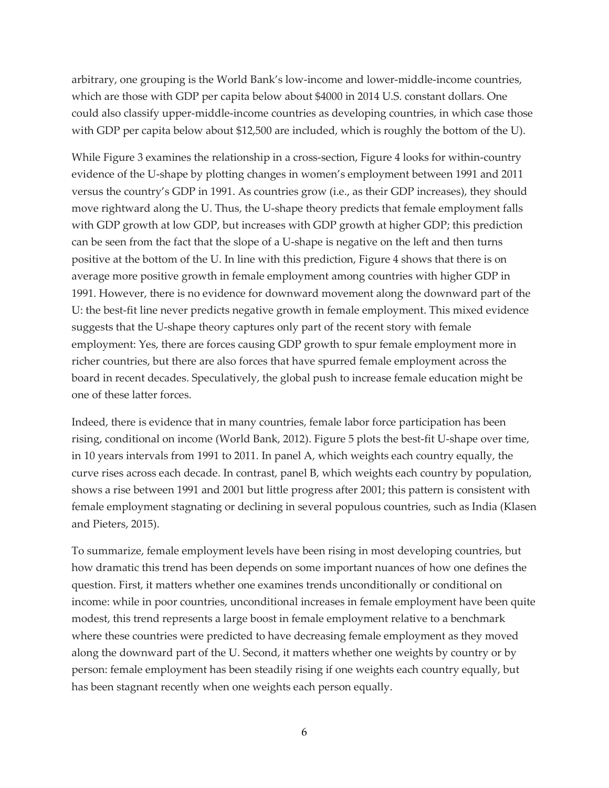arbitrary, one grouping is the World Bank's low-income and lower-middle-income countries, which are those with GDP per capita below about \$4000 in 2014 U.S. constant dollars. One could also classify upper-middle-income countries as developing countries, in which case those with GDP per capita below about \$12,500 are included, which is roughly the bottom of the U).

While Figure 3 examines the relationship in a cross-section, Figure 4 looks for within-country evidence of the U-shape by plotting changes in women's employment between 1991 and 2011 versus the country's GDP in 1991. As countries grow (i.e., as their GDP increases), they should move rightward along the U. Thus, the U-shape theory predicts that female employment falls with GDP growth at low GDP, but increases with GDP growth at higher GDP; this prediction can be seen from the fact that the slope of a U-shape is negative on the left and then turns positive at the bottom of the U. In line with this prediction, Figure 4 shows that there is on average more positive growth in female employment among countries with higher GDP in 1991. However, there is no evidence for downward movement along the downward part of the U: the best-fit line never predicts negative growth in female employment. This mixed evidence suggests that the U-shape theory captures only part of the recent story with female employment: Yes, there are forces causing GDP growth to spur female employment more in richer countries, but there are also forces that have spurred female employment across the board in recent decades. Speculatively, the global push to increase female education might be one of these latter forces.

Indeed, there is evidence that in many countries, female labor force participation has been rising, conditional on income (World Bank, 2012). Figure 5 plots the best-fit U-shape over time, in 10 years intervals from 1991 to 2011. In panel A, which weights each country equally, the curve rises across each decade. In contrast, panel B, which weights each country by population, shows a rise between 1991 and 2001 but little progress after 2001; this pattern is consistent with female employment stagnating or declining in several populous countries, such as India (Klasen and Pieters, 2015).

To summarize, female employment levels have been rising in most developing countries, but how dramatic this trend has been depends on some important nuances of how one defines the question. First, it matters whether one examines trends unconditionally or conditional on income: while in poor countries, unconditional increases in female employment have been quite modest, this trend represents a large boost in female employment relative to a benchmark where these countries were predicted to have decreasing female employment as they moved along the downward part of the U. Second, it matters whether one weights by country or by person: female employment has been steadily rising if one weights each country equally, but has been stagnant recently when one weights each person equally.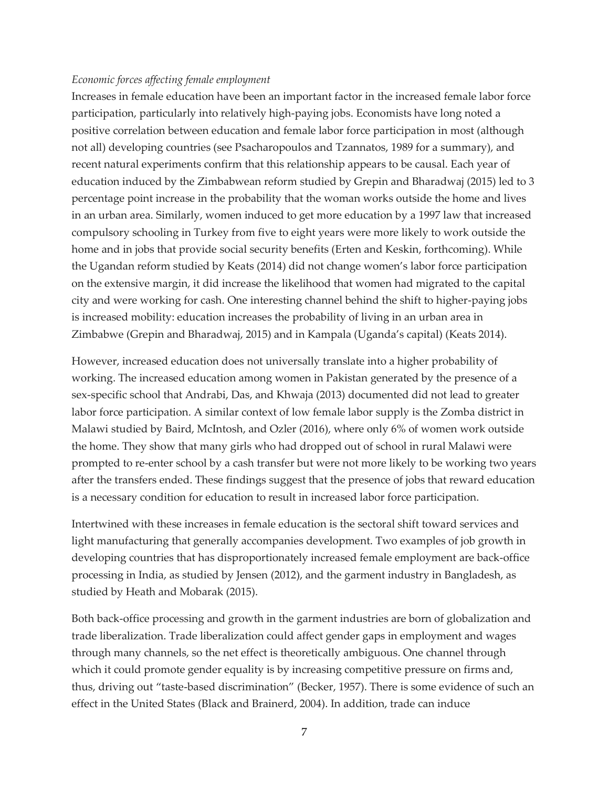#### *Economic forces affecting female employment*

Increases in female education have been an important factor in the increased female labor force participation, particularly into relatively high-paying jobs. Economists have long noted a positive correlation between education and female labor force participation in most (although not all) developing countries (see Psacharopoulos and Tzannatos, 1989 for a summary), and recent natural experiments confirm that this relationship appears to be causal. Each year of education induced by the Zimbabwean reform studied by Grepin and Bharadwaj (2015) led to 3 percentage point increase in the probability that the woman works outside the home and lives in an urban area. Similarly, women induced to get more education by a 1997 law that increased compulsory schooling in Turkey from five to eight years were more likely to work outside the home and in jobs that provide social security benefits (Erten and Keskin, forthcoming). While the Ugandan reform studied by Keats (2014) did not change women's labor force participation on the extensive margin, it did increase the likelihood that women had migrated to the capital city and were working for cash. One interesting channel behind the shift to higher-paying jobs is increased mobility: education increases the probability of living in an urban area in Zimbabwe (Grepin and Bharadwaj, 2015) and in Kampala (Uganda's capital) (Keats 2014).

However, increased education does not universally translate into a higher probability of working. The increased education among women in Pakistan generated by the presence of a sex-specific school that Andrabi, Das, and Khwaja (2013) documented did not lead to greater labor force participation. A similar context of low female labor supply is the Zomba district in Malawi studied by Baird, McIntosh, and Ozler (2016), where only 6% of women work outside the home. They show that many girls who had dropped out of school in rural Malawi were prompted to re-enter school by a cash transfer but were not more likely to be working two years after the transfers ended. These findings suggest that the presence of jobs that reward education is a necessary condition for education to result in increased labor force participation.

Intertwined with these increases in female education is the sectoral shift toward services and light manufacturing that generally accompanies development. Two examples of job growth in developing countries that has disproportionately increased female employment are back-office processing in India, as studied by Jensen (2012), and the garment industry in Bangladesh, as studied by Heath and Mobarak (2015).

Both back-office processing and growth in the garment industries are born of globalization and trade liberalization. Trade liberalization could affect gender gaps in employment and wages through many channels, so the net effect is theoretically ambiguous. One channel through which it could promote gender equality is by increasing competitive pressure on firms and, thus, driving out "taste-based discrimination" (Becker, 1957). There is some evidence of such an effect in the United States (Black and Brainerd, 2004). In addition, trade can induce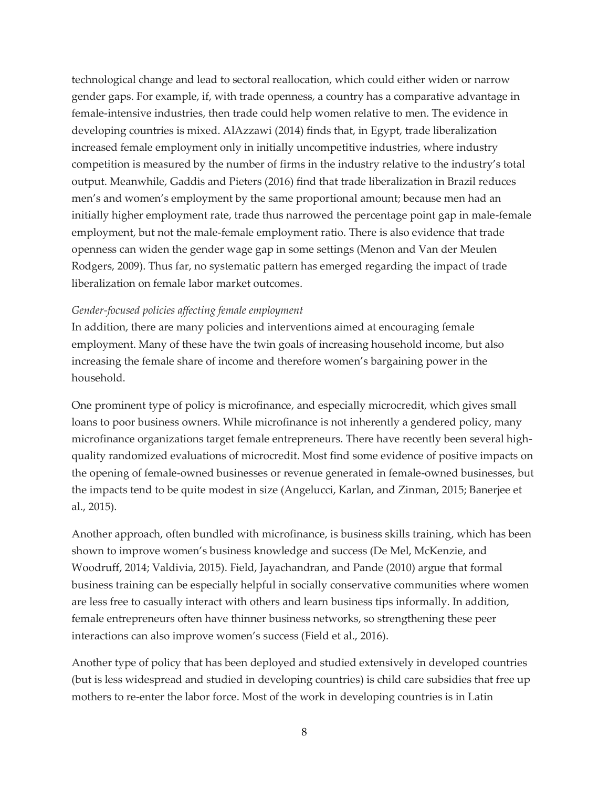technological change and lead to sectoral reallocation, which could either widen or narrow gender gaps. For example, if, with trade openness, a country has a comparative advantage in female-intensive industries, then trade could help women relative to men. The evidence in developing countries is mixed. AlAzzawi (2014) finds that, in Egypt, trade liberalization increased female employment only in initially uncompetitive industries, where industry competition is measured by the number of firms in the industry relative to the industry's total output. Meanwhile, Gaddis and Pieters (2016) find that trade liberalization in Brazil reduces men's and women's employment by the same proportional amount; because men had an initially higher employment rate, trade thus narrowed the percentage point gap in male-female employment, but not the male-female employment ratio. There is also evidence that trade openness can widen the gender wage gap in some settings (Menon and Van der Meulen Rodgers, 2009). Thus far, no systematic pattern has emerged regarding the impact of trade liberalization on female labor market outcomes.

### *Gender-focused policies affecting female employment*

In addition, there are many policies and interventions aimed at encouraging female employment. Many of these have the twin goals of increasing household income, but also increasing the female share of income and therefore women's bargaining power in the household.

One prominent type of policy is microfinance, and especially microcredit, which gives small loans to poor business owners. While microfinance is not inherently a gendered policy, many microfinance organizations target female entrepreneurs. There have recently been several highquality randomized evaluations of microcredit. Most find some evidence of positive impacts on the opening of female-owned businesses or revenue generated in female-owned businesses, but the impacts tend to be quite modest in size (Angelucci, Karlan, and Zinman, 2015; Banerjee et al., 2015).

Another approach, often bundled with microfinance, is business skills training, which has been shown to improve women's business knowledge and success (De Mel, McKenzie, and Woodruff, 2014; Valdivia, 2015). Field, Jayachandran, and Pande (2010) argue that formal business training can be especially helpful in socially conservative communities where women are less free to casually interact with others and learn business tips informally. In addition, female entrepreneurs often have thinner business networks, so strengthening these peer interactions can also improve women's success (Field et al., 2016).

Another type of policy that has been deployed and studied extensively in developed countries (but is less widespread and studied in developing countries) is child care subsidies that free up mothers to re-enter the labor force. Most of the work in developing countries is in Latin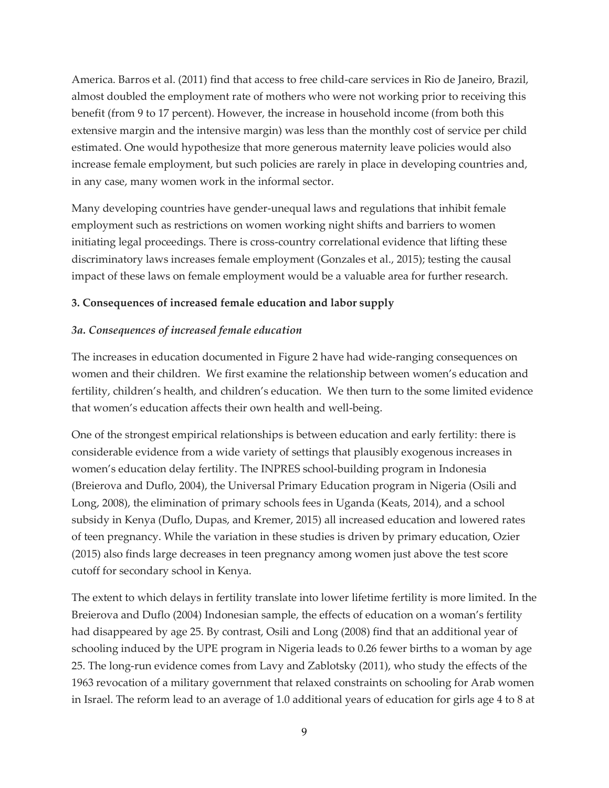America. Barros et al. (2011) find that access to free child-care services in Rio de Janeiro, Brazil, almost doubled the employment rate of mothers who were not working prior to receiving this benefit (from 9 to 17 percent). However, the increase in household income (from both this extensive margin and the intensive margin) was less than the monthly cost of service per child estimated. One would hypothesize that more generous maternity leave policies would also increase female employment, but such policies are rarely in place in developing countries and, in any case, many women work in the informal sector.

Many developing countries have gender-unequal laws and regulations that inhibit female employment such as restrictions on women working night shifts and barriers to women initiating legal proceedings. There is cross-country correlational evidence that lifting these discriminatory laws increases female employment (Gonzales et al., 2015); testing the causal impact of these laws on female employment would be a valuable area for further research.

# **3. Consequences of increased female education and labor supply**

# *3a. Consequences of increased female education*

The increases in education documented in Figure 2 have had wide-ranging consequences on women and their children. We first examine the relationship between women's education and fertility, children's health, and children's education. We then turn to the some limited evidence that women's education affects their own health and well-being.

One of the strongest empirical relationships is between education and early fertility: there is considerable evidence from a wide variety of settings that plausibly exogenous increases in women's education delay fertility. The INPRES school-building program in Indonesia (Breierova and Duflo, 2004), the Universal Primary Education program in Nigeria (Osili and Long, 2008), the elimination of primary schools fees in Uganda (Keats, 2014), and a school subsidy in Kenya (Duflo, Dupas, and Kremer, 2015) all increased education and lowered rates of teen pregnancy. While the variation in these studies is driven by primary education, Ozier (2015) also finds large decreases in teen pregnancy among women just above the test score cutoff for secondary school in Kenya.

The extent to which delays in fertility translate into lower lifetime fertility is more limited. In the Breierova and Duflo (2004) Indonesian sample, the effects of education on a woman's fertility had disappeared by age 25. By contrast, Osili and Long (2008) find that an additional year of schooling induced by the UPE program in Nigeria leads to 0.26 fewer births to a woman by age 25. The long-run evidence comes from Lavy and Zablotsky (2011), who study the effects of the 1963 revocation of a military government that relaxed constraints on schooling for Arab women in Israel. The reform lead to an average of 1.0 additional years of education for girls age 4 to 8 at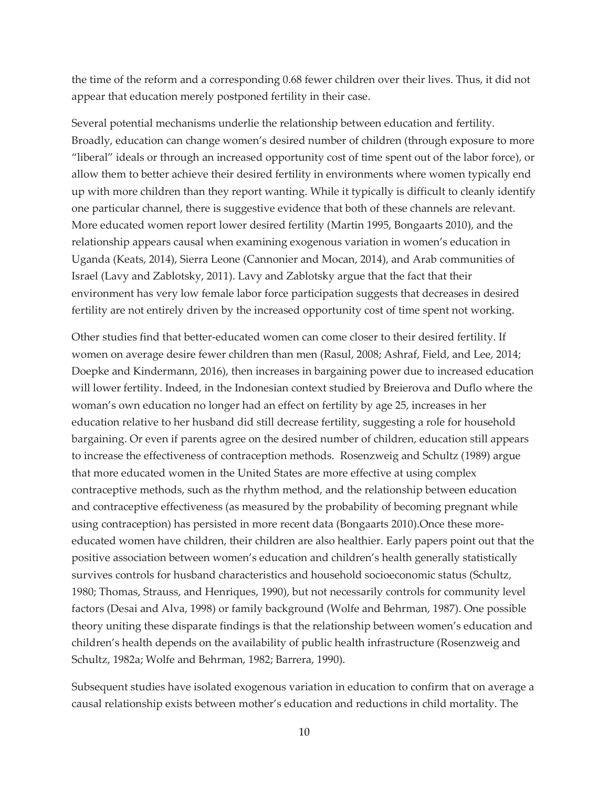the time of the reform and a corresponding 0.68 fewer children over their lives. Thus, it did not appear that education merely postponed fertility in their case.

Several potential mechanisms underlie the relationship between education and fertility. Broadly, education can change women's desired number of children (through exposure to more "liberal" ideals or through an increased opportunity cost of time spent out of the labor force), or allow them to better achieve their desired fertility in environments where women typically end up with more children than they report wanting. While it typically is difficult to cleanly identify one particular channel, there is suggestive evidence that both of these channels are relevant. More educated women report lower desired fertility (Martin 1995, Bongaarts 2010), and the relationship appears causal when examining exogenous variation in women's education in Uganda (Keats, 2014), Sierra Leone (Cannonier and Mocan, 2014), and Arab communities of Israel (Lavy and Zablotsky, 2011). Lavy and Zablotsky argue that the fact that their environment has very low female labor force participation suggests that decreases in desired fertility are not entirely driven by the increased opportunity cost of time spent not working.

Other studies find that better-educated women can come closer to their desired fertility. If women on average desire fewer children than men (Rasul, 2008; Ashraf, Field, and Lee, 2014; Doepke and Kindermann, 2016), then increases in bargaining power due to increased education will lower fertility. Indeed, in the Indonesian context studied by Breierova and Duflo where the woman's own education no longer had an effect on fertility by age 25, increases in her education relative to her husband did still decrease fertility, suggesting a role for household bargaining. Or even if parents agree on the desired number of children, education still appears to increase the effectiveness of contraception methods. Rosenzweig and Schultz (1989) argue that more educated women in the United States are more effective at using complex contraceptive methods, such as the rhythm method, and the relationship between education and contraceptive effectiveness (as measured by the probability of becoming pregnant while using contraception) has persisted in more recent data (Bongaarts 2010).Once these moreeducated women have children, their children are also healthier. Early papers point out that the positive association between women's education and children's health generally statistically survives controls for husband characteristics and household socioeconomic status (Schultz, 1980; Thomas, Strauss, and Henriques, 1990), but not necessarily controls for community level factors (Desai and Alva, 1998) or family background (Wolfe and Behrman, 1987). One possible theory uniting these disparate findings is that the relationship between women's education and children's health depends on the availability of public health infrastructure (Rosenzweig and Schultz, 1982a; Wolfe and Behrman, 1982; Barrera, 1990).

Subsequent studies have isolated exogenous variation in education to confirm that on average a causal relationship exists between mother's education and reductions in child mortality. The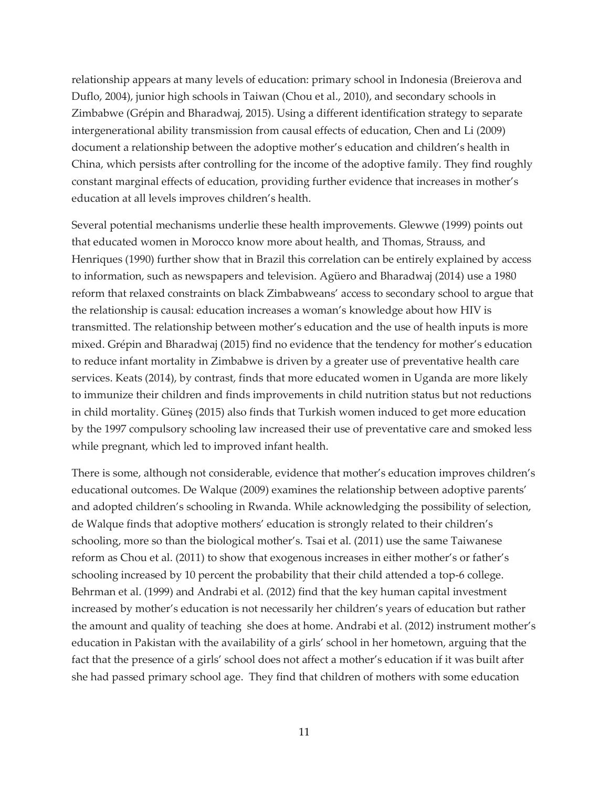relationship appears at many levels of education: primary school in Indonesia (Breierova and Duflo, 2004), junior high schools in Taiwan (Chou et al., 2010), and secondary schools in Zimbabwe (Grépin and Bharadwaj, 2015). Using a different identification strategy to separate intergenerational ability transmission from causal effects of education, Chen and Li (2009) document a relationship between the adoptive mother's education and children's health in China, which persists after controlling for the income of the adoptive family. They find roughly constant marginal effects of education, providing further evidence that increases in mother's education at all levels improves children's health.

Several potential mechanisms underlie these health improvements. Glewwe (1999) points out that educated women in Morocco know more about health, and Thomas, Strauss, and Henriques (1990) further show that in Brazil this correlation can be entirely explained by access to information, such as newspapers and television. Agüero and Bharadwaj (2014) use a 1980 reform that relaxed constraints on black Zimbabweans' access to secondary school to argue that the relationship is causal: education increases a woman's knowledge about how HIV is transmitted. The relationship between mother's education and the use of health inputs is more mixed. Grépin and Bharadwaj (2015) find no evidence that the tendency for mother's education to reduce infant mortality in Zimbabwe is driven by a greater use of preventative health care services. Keats (2014), by contrast, finds that more educated women in Uganda are more likely to immunize their children and finds improvements in child nutrition status but not reductions in child mortality. Güneş (2015) also finds that Turkish women induced to get more education by the 1997 compulsory schooling law increased their use of preventative care and smoked less while pregnant, which led to improved infant health.

There is some, although not considerable, evidence that mother's education improves children's educational outcomes. De Walque (2009) examines the relationship between adoptive parents' and adopted children's schooling in Rwanda. While acknowledging the possibility of selection, de Walque finds that adoptive mothers' education is strongly related to their children's schooling, more so than the biological mother's. Tsai et al. (2011) use the same Taiwanese reform as Chou et al. (2011) to show that exogenous increases in either mother's or father's schooling increased by 10 percent the probability that their child attended a top-6 college. Behrman et al. (1999) and Andrabi et al. (2012) find that the key human capital investment increased by mother's education is not necessarily her children's years of education but rather the amount and quality of teaching she does at home. Andrabi et al. (2012) instrument mother's education in Pakistan with the availability of a girls' school in her hometown, arguing that the fact that the presence of a girls' school does not affect a mother's education if it was built after she had passed primary school age. They find that children of mothers with some education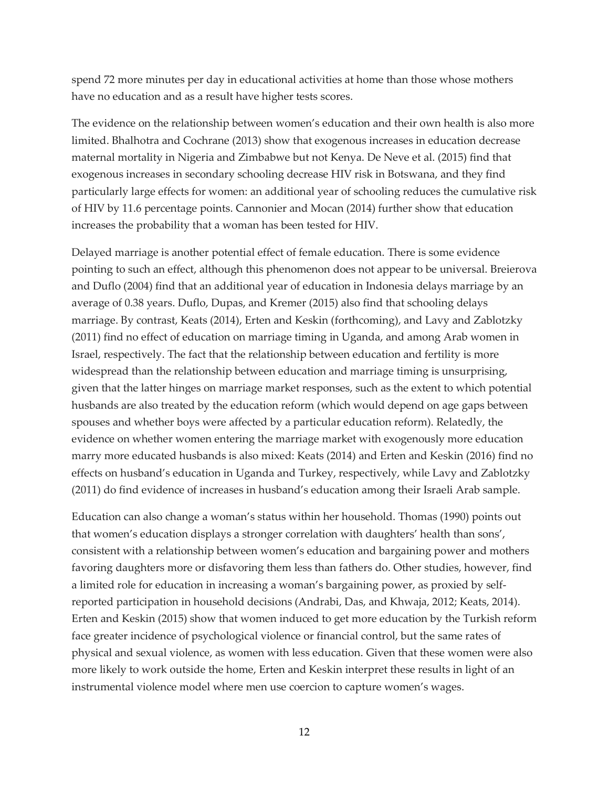spend 72 more minutes per day in educational activities at home than those whose mothers have no education and as a result have higher tests scores.

The evidence on the relationship between women's education and their own health is also more limited. Bhalhotra and Cochrane (2013) show that exogenous increases in education decrease maternal mortality in Nigeria and Zimbabwe but not Kenya. De Neve et al. (2015) find that exogenous increases in secondary schooling decrease HIV risk in Botswana, and they find particularly large effects for women: an additional year of schooling reduces the cumulative risk of HIV by 11.6 percentage points. Cannonier and Mocan (2014) further show that education increases the probability that a woman has been tested for HIV.

Delayed marriage is another potential effect of female education. There is some evidence pointing to such an effect, although this phenomenon does not appear to be universal. Breierova and Duflo (2004) find that an additional year of education in Indonesia delays marriage by an average of 0.38 years. Duflo, Dupas, and Kremer (2015) also find that schooling delays marriage. By contrast, Keats (2014), Erten and Keskin (forthcoming), and Lavy and Zablotzky (2011) find no effect of education on marriage timing in Uganda, and among Arab women in Israel, respectively. The fact that the relationship between education and fertility is more widespread than the relationship between education and marriage timing is unsurprising, given that the latter hinges on marriage market responses, such as the extent to which potential husbands are also treated by the education reform (which would depend on age gaps between spouses and whether boys were affected by a particular education reform). Relatedly, the evidence on whether women entering the marriage market with exogenously more education marry more educated husbands is also mixed: Keats (2014) and Erten and Keskin (2016) find no effects on husband's education in Uganda and Turkey, respectively, while Lavy and Zablotzky (2011) do find evidence of increases in husband's education among their Israeli Arab sample.

Education can also change a woman's status within her household. Thomas (1990) points out that women's education displays a stronger correlation with daughters' health than sons', consistent with a relationship between women's education and bargaining power and mothers favoring daughters more or disfavoring them less than fathers do. Other studies, however, find a limited role for education in increasing a woman's bargaining power, as proxied by selfreported participation in household decisions (Andrabi, Das, and Khwaja, 2012; Keats, 2014). Erten and Keskin (2015) show that women induced to get more education by the Turkish reform face greater incidence of psychological violence or financial control, but the same rates of physical and sexual violence, as women with less education. Given that these women were also more likely to work outside the home, Erten and Keskin interpret these results in light of an instrumental violence model where men use coercion to capture women's wages.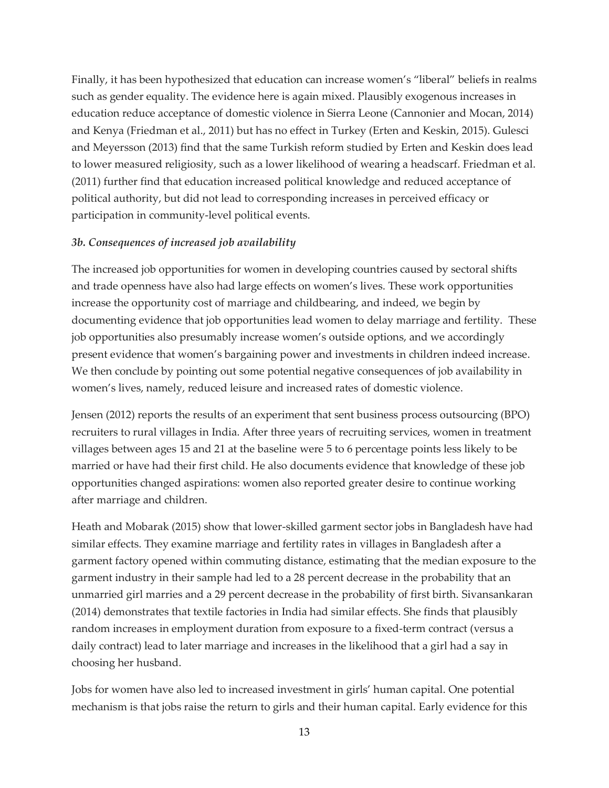Finally, it has been hypothesized that education can increase women's "liberal" beliefs in realms such as gender equality. The evidence here is again mixed. Plausibly exogenous increases in education reduce acceptance of domestic violence in Sierra Leone (Cannonier and Mocan, 2014) and Kenya (Friedman et al., 2011) but has no effect in Turkey (Erten and Keskin, 2015). Gulesci and Meyersson (2013) find that the same Turkish reform studied by Erten and Keskin does lead to lower measured religiosity, such as a lower likelihood of wearing a headscarf. Friedman et al. (2011) further find that education increased political knowledge and reduced acceptance of political authority, but did not lead to corresponding increases in perceived efficacy or participation in community-level political events.

## *3b. Consequences of increased job availability*

The increased job opportunities for women in developing countries caused by sectoral shifts and trade openness have also had large effects on women's lives. These work opportunities increase the opportunity cost of marriage and childbearing, and indeed, we begin by documenting evidence that job opportunities lead women to delay marriage and fertility. These job opportunities also presumably increase women's outside options, and we accordingly present evidence that women's bargaining power and investments in children indeed increase. We then conclude by pointing out some potential negative consequences of job availability in women's lives, namely, reduced leisure and increased rates of domestic violence.

Jensen (2012) reports the results of an experiment that sent business process outsourcing (BPO) recruiters to rural villages in India. After three years of recruiting services, women in treatment villages between ages 15 and 21 at the baseline were 5 to 6 percentage points less likely to be married or have had their first child. He also documents evidence that knowledge of these job opportunities changed aspirations: women also reported greater desire to continue working after marriage and children.

Heath and Mobarak (2015) show that lower-skilled garment sector jobs in Bangladesh have had similar effects. They examine marriage and fertility rates in villages in Bangladesh after a garment factory opened within commuting distance, estimating that the median exposure to the garment industry in their sample had led to a 28 percent decrease in the probability that an unmarried girl marries and a 29 percent decrease in the probability of first birth. Sivansankaran (2014) demonstrates that textile factories in India had similar effects. She finds that plausibly random increases in employment duration from exposure to a fixed-term contract (versus a daily contract) lead to later marriage and increases in the likelihood that a girl had a say in choosing her husband.

Jobs for women have also led to increased investment in girls' human capital. One potential mechanism is that jobs raise the return to girls and their human capital. Early evidence for this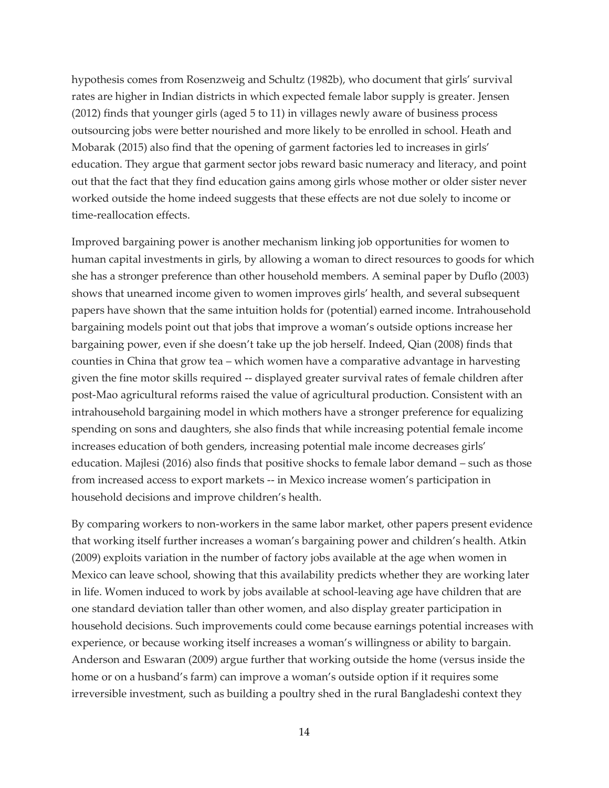hypothesis comes from Rosenzweig and Schultz (1982b), who document that girls' survival rates are higher in Indian districts in which expected female labor supply is greater. Jensen (2012) finds that younger girls (aged 5 to 11) in villages newly aware of business process outsourcing jobs were better nourished and more likely to be enrolled in school. Heath and Mobarak (2015) also find that the opening of garment factories led to increases in girls' education. They argue that garment sector jobs reward basic numeracy and literacy, and point out that the fact that they find education gains among girls whose mother or older sister never worked outside the home indeed suggests that these effects are not due solely to income or time-reallocation effects.

Improved bargaining power is another mechanism linking job opportunities for women to human capital investments in girls, by allowing a woman to direct resources to goods for which she has a stronger preference than other household members. A seminal paper by Duflo (2003) shows that unearned income given to women improves girls' health, and several subsequent papers have shown that the same intuition holds for (potential) earned income. Intrahousehold bargaining models point out that jobs that improve a woman's outside options increase her bargaining power, even if she doesn't take up the job herself. Indeed, Qian (2008) finds that counties in China that grow tea – which women have a comparative advantage in harvesting given the fine motor skills required -- displayed greater survival rates of female children after post-Mao agricultural reforms raised the value of agricultural production. Consistent with an intrahousehold bargaining model in which mothers have a stronger preference for equalizing spending on sons and daughters, she also finds that while increasing potential female income increases education of both genders, increasing potential male income decreases girls' education. Majlesi (2016) also finds that positive shocks to female labor demand – such as those from increased access to export markets -- in Mexico increase women's participation in household decisions and improve children's health.

By comparing workers to non-workers in the same labor market, other papers present evidence that working itself further increases a woman's bargaining power and children's health. Atkin (2009) exploits variation in the number of factory jobs available at the age when women in Mexico can leave school, showing that this availability predicts whether they are working later in life. Women induced to work by jobs available at school-leaving age have children that are one standard deviation taller than other women, and also display greater participation in household decisions. Such improvements could come because earnings potential increases with experience, or because working itself increases a woman's willingness or ability to bargain. Anderson and Eswaran (2009) argue further that working outside the home (versus inside the home or on a husband's farm) can improve a woman's outside option if it requires some irreversible investment, such as building a poultry shed in the rural Bangladeshi context they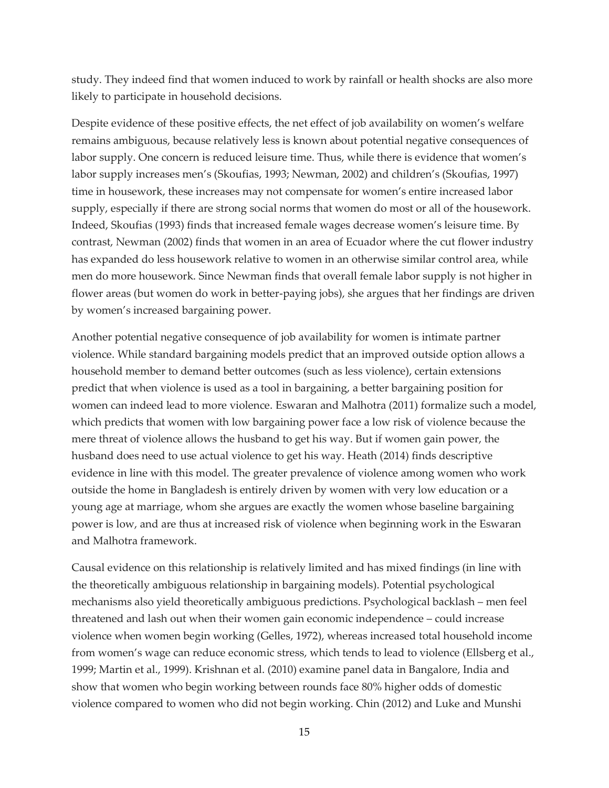study. They indeed find that women induced to work by rainfall or health shocks are also more likely to participate in household decisions.

Despite evidence of these positive effects, the net effect of job availability on women's welfare remains ambiguous, because relatively less is known about potential negative consequences of labor supply. One concern is reduced leisure time. Thus, while there is evidence that women's labor supply increases men's (Skoufias, 1993; Newman, 2002) and children's (Skoufias, 1997) time in housework, these increases may not compensate for women's entire increased labor supply, especially if there are strong social norms that women do most or all of the housework. Indeed, Skoufias (1993) finds that increased female wages decrease women's leisure time. By contrast, Newman (2002) finds that women in an area of Ecuador where the cut flower industry has expanded do less housework relative to women in an otherwise similar control area, while men do more housework. Since Newman finds that overall female labor supply is not higher in flower areas (but women do work in better-paying jobs), she argues that her findings are driven by women's increased bargaining power.

Another potential negative consequence of job availability for women is intimate partner violence. While standard bargaining models predict that an improved outside option allows a household member to demand better outcomes (such as less violence), certain extensions predict that when violence is used as a tool in bargaining, a better bargaining position for women can indeed lead to more violence. Eswaran and Malhotra (2011) formalize such a model, which predicts that women with low bargaining power face a low risk of violence because the mere threat of violence allows the husband to get his way. But if women gain power, the husband does need to use actual violence to get his way. Heath (2014) finds descriptive evidence in line with this model. The greater prevalence of violence among women who work outside the home in Bangladesh is entirely driven by women with very low education or a young age at marriage, whom she argues are exactly the women whose baseline bargaining power is low, and are thus at increased risk of violence when beginning work in the Eswaran and Malhotra framework.

Causal evidence on this relationship is relatively limited and has mixed findings (in line with the theoretically ambiguous relationship in bargaining models). Potential psychological mechanisms also yield theoretically ambiguous predictions. Psychological backlash – men feel threatened and lash out when their women gain economic independence – could increase violence when women begin working (Gelles, 1972), whereas increased total household income from women's wage can reduce economic stress, which tends to lead to violence (Ellsberg et al., 1999; Martin et al., 1999). Krishnan et al. (2010) examine panel data in Bangalore, India and show that women who begin working between rounds face 80% higher odds of domestic violence compared to women who did not begin working. Chin (2012) and Luke and Munshi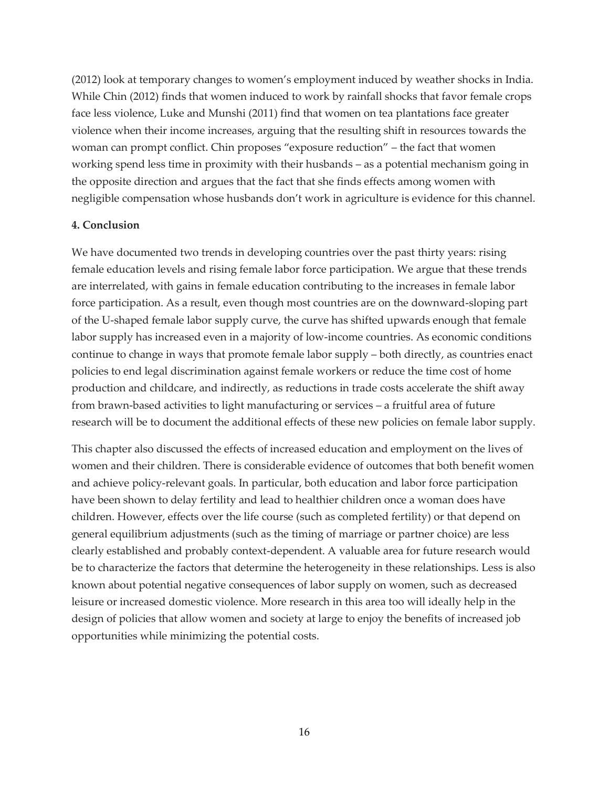(2012) look at temporary changes to women's employment induced by weather shocks in India. While Chin (2012) finds that women induced to work by rainfall shocks that favor female crops face less violence, Luke and Munshi (2011) find that women on tea plantations face greater violence when their income increases, arguing that the resulting shift in resources towards the woman can prompt conflict. Chin proposes "exposure reduction" – the fact that women working spend less time in proximity with their husbands – as a potential mechanism going in the opposite direction and argues that the fact that she finds effects among women with negligible compensation whose husbands don't work in agriculture is evidence for this channel.

#### **4. Conclusion**

We have documented two trends in developing countries over the past thirty years: rising female education levels and rising female labor force participation. We argue that these trends are interrelated, with gains in female education contributing to the increases in female labor force participation. As a result, even though most countries are on the downward-sloping part of the U-shaped female labor supply curve, the curve has shifted upwards enough that female labor supply has increased even in a majority of low-income countries. As economic conditions continue to change in ways that promote female labor supply – both directly, as countries enact policies to end legal discrimination against female workers or reduce the time cost of home production and childcare, and indirectly, as reductions in trade costs accelerate the shift away from brawn-based activities to light manufacturing or services – a fruitful area of future research will be to document the additional effects of these new policies on female labor supply.

This chapter also discussed the effects of increased education and employment on the lives of women and their children. There is considerable evidence of outcomes that both benefit women and achieve policy-relevant goals. In particular, both education and labor force participation have been shown to delay fertility and lead to healthier children once a woman does have children. However, effects over the life course (such as completed fertility) or that depend on general equilibrium adjustments (such as the timing of marriage or partner choice) are less clearly established and probably context-dependent. A valuable area for future research would be to characterize the factors that determine the heterogeneity in these relationships. Less is also known about potential negative consequences of labor supply on women, such as decreased leisure or increased domestic violence. More research in this area too will ideally help in the design of policies that allow women and society at large to enjoy the benefits of increased job opportunities while minimizing the potential costs.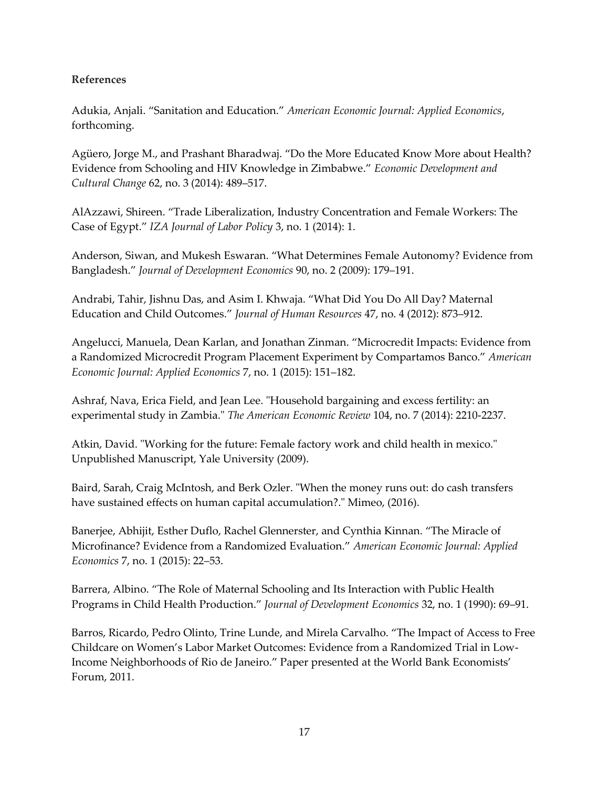# **References**

Adukia, Anjali. "Sanitation and Education." *American Economic Journal: Applied Economics*, forthcoming.

Agüero, Jorge M., and Prashant Bharadwaj. "Do the More Educated Know More about Health? Evidence from Schooling and HIV Knowledge in Zimbabwe." *Economic Development and Cultural Change* 62, no. 3 (2014): 489–517.

AlAzzawi, Shireen. "Trade Liberalization, Industry Concentration and Female Workers: The Case of Egypt." *IZA Journal of Labor Policy* 3, no. 1 (2014): 1.

Anderson, Siwan, and Mukesh Eswaran. "What Determines Female Autonomy? Evidence from Bangladesh." *Journal of Development Economics* 90, no. 2 (2009): 179–191.

Andrabi, Tahir, Jishnu Das, and Asim I. Khwaja. "What Did You Do All Day? Maternal Education and Child Outcomes." *Journal of Human Resources* 47, no. 4 (2012): 873–912.

Angelucci, Manuela, Dean Karlan, and Jonathan Zinman. "Microcredit Impacts: Evidence from a Randomized Microcredit Program Placement Experiment by Compartamos Banco." *American Economic Journal: Applied Economics* 7, no. 1 (2015): 151–182.

Ashraf, Nava, Erica Field, and Jean Lee. "Household bargaining and excess fertility: an experimental study in Zambia." *The American Economic Review* 104, no. 7 (2014): 2210-2237.

Atkin, David. "Working for the future: Female factory work and child health in mexico." Unpublished Manuscript, Yale University (2009).

Baird, Sarah, Craig McIntosh, and Berk Ozler. "When the money runs out: do cash transfers have sustained effects on human capital accumulation?." Mimeo, (2016).

Banerjee, Abhijit, Esther Duflo, Rachel Glennerster, and Cynthia Kinnan. "The Miracle of Microfinance? Evidence from a Randomized Evaluation." *American Economic Journal: Applied Economics* 7, no. 1 (2015): 22–53.

Barrera, Albino. "The Role of Maternal Schooling and Its Interaction with Public Health Programs in Child Health Production." *Journal of Development Economics* 32, no. 1 (1990): 69–91.

Barros, Ricardo, Pedro Olinto, Trine Lunde, and Mirela Carvalho. "The Impact of Access to Free Childcare on Women's Labor Market Outcomes: Evidence from a Randomized Trial in Low-Income Neighborhoods of Rio de Janeiro." Paper presented at the World Bank Economists' Forum, 2011.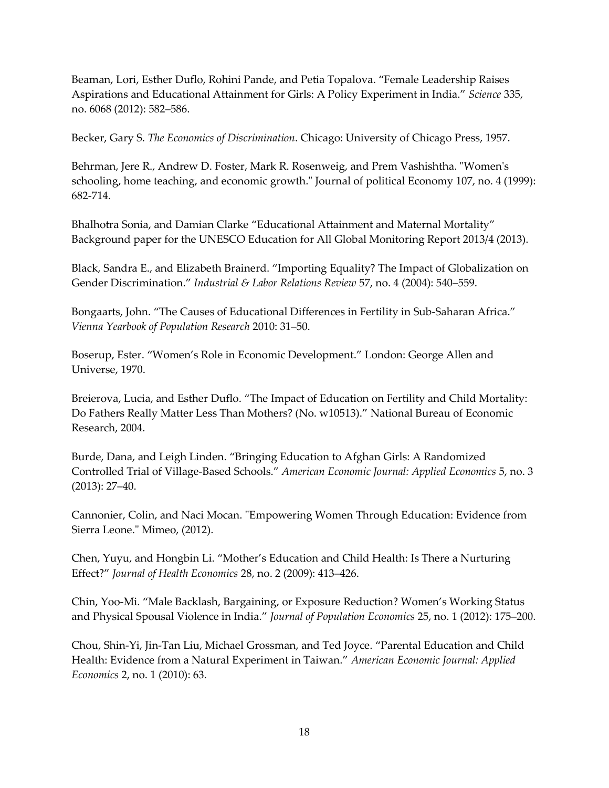Beaman, Lori, Esther Duflo, Rohini Pande, and Petia Topalova. "Female Leadership Raises Aspirations and Educational Attainment for Girls: A Policy Experiment in India." *Science* 335, no. 6068 (2012): 582–586.

Becker, Gary S. *The Economics of Discrimination*. Chicago: University of Chicago Press, 1957.

Behrman, Jere R., Andrew D. Foster, Mark R. Rosenweig, and Prem Vashishtha. "Women's schooling, home teaching, and economic growth." Journal of political Economy 107, no. 4 (1999): 682-714.

Bhalhotra Sonia, and Damian Clarke "Educational Attainment and Maternal Mortality" Background paper for the UNESCO Education for All Global Monitoring Report 2013/4 (2013).

Black, Sandra E., and Elizabeth Brainerd. "Importing Equality? The Impact of Globalization on Gender Discrimination." *Industrial & Labor Relations Review* 57, no. 4 (2004): 540–559.

Bongaarts, John. "The Causes of Educational Differences in Fertility in Sub-Saharan Africa." *Vienna Yearbook of Population Research* 2010: 31–50.

Boserup, Ester. "Women's Role in Economic Development." London: George Allen and Universe, 1970.

Breierova, Lucia, and Esther Duflo. "The Impact of Education on Fertility and Child Mortality: Do Fathers Really Matter Less Than Mothers? (No. w10513)." National Bureau of Economic Research, 2004.

Burde, Dana, and Leigh Linden. "Bringing Education to Afghan Girls: A Randomized Controlled Trial of Village-Based Schools." *American Economic Journal: Applied Economics* 5, no. 3 (2013): 27–40.

Cannonier, Colin, and Naci Mocan. "Empowering Women Through Education: Evidence from Sierra Leone." Mimeo, (2012).

Chen, Yuyu, and Hongbin Li. "Mother's Education and Child Health: Is There a Nurturing Effect?" *Journal of Health Economics* 28, no. 2 (2009): 413–426.

Chin, Yoo-Mi. "Male Backlash, Bargaining, or Exposure Reduction? Women's Working Status and Physical Spousal Violence in India." *Journal of Population Economics* 25, no. 1 (2012): 175–200.

Chou, Shin-Yi, Jin-Tan Liu, Michael Grossman, and Ted Joyce. "Parental Education and Child Health: Evidence from a Natural Experiment in Taiwan." *American Economic Journal: Applied Economics* 2, no. 1 (2010): 63.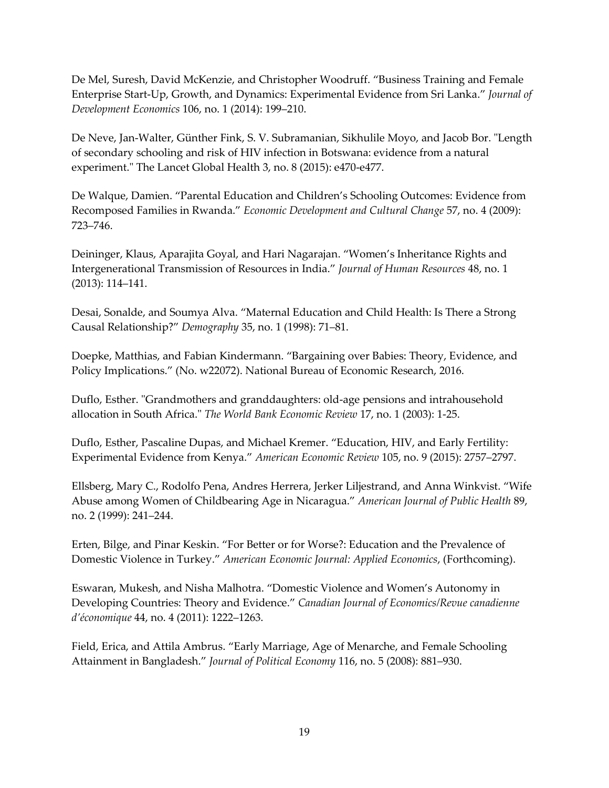De Mel, Suresh, David McKenzie, and Christopher Woodruff. "Business Training and Female Enterprise Start-Up, Growth, and Dynamics: Experimental Evidence from Sri Lanka." *Journal of Development Economics* 106, no. 1 (2014): 199–210.

De Neve, Jan-Walter, Günther Fink, S. V. Subramanian, Sikhulile Moyo, and Jacob Bor. "Length of secondary schooling and risk of HIV infection in Botswana: evidence from a natural experiment." The Lancet Global Health 3, no. 8 (2015): e470-e477.

De Walque, Damien. "Parental Education and Children's Schooling Outcomes: Evidence from Recomposed Families in Rwanda." *Economic Development and Cultural Change* 57, no. 4 (2009): 723–746.

Deininger, Klaus, Aparajita Goyal, and Hari Nagarajan. "Women's Inheritance Rights and Intergenerational Transmission of Resources in India." *Journal of Human Resources* 48, no. 1 (2013): 114–141.

Desai, Sonalde, and Soumya Alva. "Maternal Education and Child Health: Is There a Strong Causal Relationship?" *Demography* 35, no. 1 (1998): 71–81.

Doepke, Matthias, and Fabian Kindermann. "Bargaining over Babies: Theory, Evidence, and Policy Implications." (No. w22072). National Bureau of Economic Research, 2016.

Duflo, Esther. "Grandmothers and granddaughters: old‐age pensions and intrahousehold allocation in South Africa." *The World Bank Economic Review* 17, no. 1 (2003): 1-25.

Duflo, Esther, Pascaline Dupas, and Michael Kremer. "Education, HIV, and Early Fertility: Experimental Evidence from Kenya." *American Economic Review* 105, no. 9 (2015): 2757–2797.

Ellsberg, Mary C., Rodolfo Pena, Andres Herrera, Jerker Liljestrand, and Anna Winkvist. "Wife Abuse among Women of Childbearing Age in Nicaragua." *American Journal of Public Health* 89, no. 2 (1999): 241–244.

Erten, Bilge, and Pinar Keskin. "For Better or for Worse?: Education and the Prevalence of Domestic Violence in Turkey." *American Economic Journal: Applied Economics*, (Forthcoming).

Eswaran, Mukesh, and Nisha Malhotra. "Domestic Violence and Women's Autonomy in Developing Countries: Theory and Evidence." *Canadian Journal of Economics/Revue canadienne d'économique* 44, no. 4 (2011): 1222–1263.

Field, Erica, and Attila Ambrus. "Early Marriage, Age of Menarche, and Female Schooling Attainment in Bangladesh." *Journal of Political Economy* 116, no. 5 (2008): 881–930.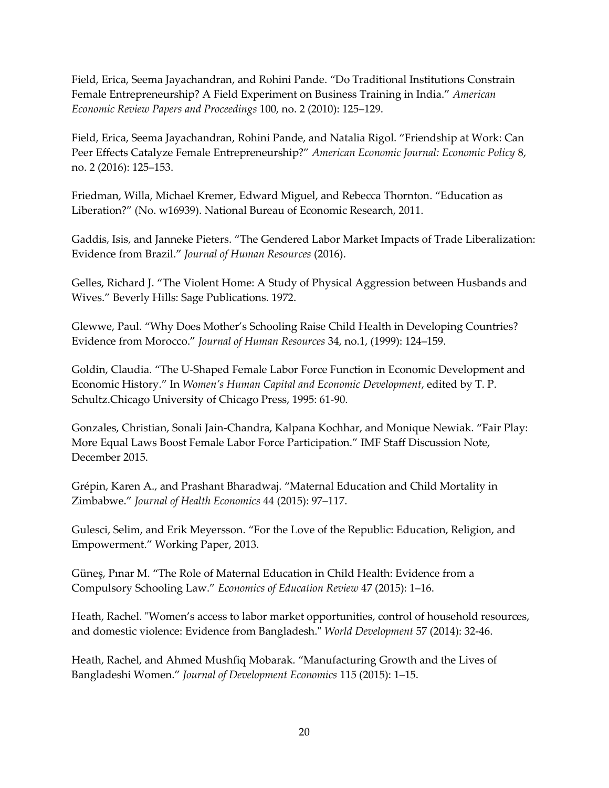Field, Erica, Seema Jayachandran, and Rohini Pande. "Do Traditional Institutions Constrain Female Entrepreneurship? A Field Experiment on Business Training in India." *American Economic Review Papers and Proceedings* 100, no. 2 (2010): 125–129.

Field, Erica, Seema Jayachandran, Rohini Pande, and Natalia Rigol. "Friendship at Work: Can Peer Effects Catalyze Female Entrepreneurship?" *American Economic Journal: Economic Policy* 8, no. 2 (2016): 125–153.

Friedman, Willa, Michael Kremer, Edward Miguel, and Rebecca Thornton. "Education as Liberation?" (No. w16939). National Bureau of Economic Research, 2011.

Gaddis, Isis, and Janneke Pieters. "The Gendered Labor Market Impacts of Trade Liberalization: Evidence from Brazil." *Journal of Human Resources* (2016).

Gelles, Richard J. "The Violent Home: A Study of Physical Aggression between Husbands and Wives." Beverly Hills: Sage Publications. 1972.

Glewwe, Paul. "Why Does Mother's Schooling Raise Child Health in Developing Countries? Evidence from Morocco." *Journal of Human Resources* 34, no.1, (1999): 124–159.

Goldin, Claudia. "The U-Shaped Female Labor Force Function in Economic Development and Economic History." In *Women's Human Capital and Economic Development*, edited by T. P. Schultz.Chicago University of Chicago Press, 1995: 61-90.

Gonzales, Christian, Sonali Jain-Chandra, Kalpana Kochhar, and Monique Newiak. "Fair Play: More Equal Laws Boost Female Labor Force Participation." IMF Staff Discussion Note, December 2015.

Grépin, Karen A., and Prashant Bharadwaj. "Maternal Education and Child Mortality in Zimbabwe." *Journal of Health Economics* 44 (2015): 97–117.

Gulesci, Selim, and Erik Meyersson. "For the Love of the Republic: Education, Religion, and Empowerment." Working Paper, 2013.

Güneş, Pınar M. "The Role of Maternal Education in Child Health: Evidence from a Compulsory Schooling Law." *Economics of Education Review* 47 (2015): 1–16.

Heath, Rachel. "Women's access to labor market opportunities, control of household resources, and domestic violence: Evidence from Bangladesh." *World Development* 57 (2014): 32-46.

Heath, Rachel, and Ahmed Mushfiq Mobarak. "Manufacturing Growth and the Lives of Bangladeshi Women." *Journal of Development Economics* 115 (2015): 1–15.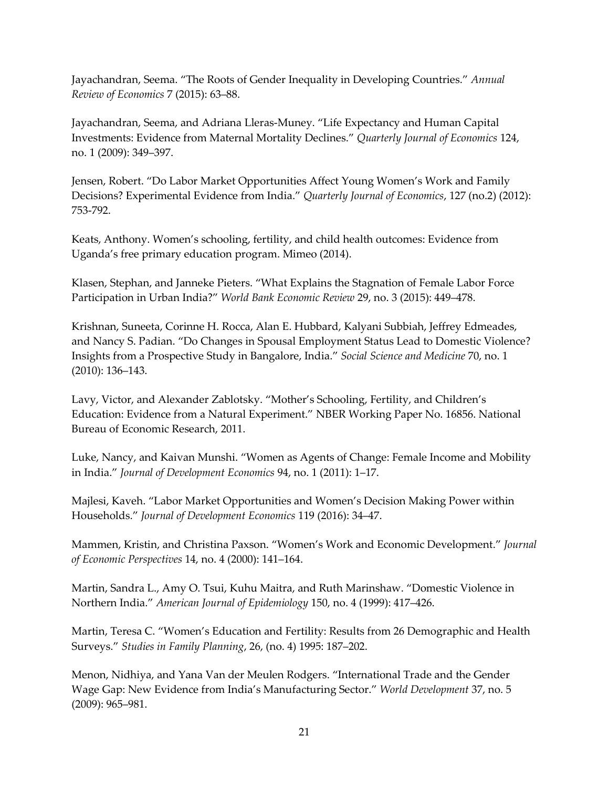Jayachandran, Seema. "The Roots of Gender Inequality in Developing Countries." *Annual Review of Economics* 7 (2015): 63–88.

Jayachandran, Seema, and Adriana Lleras-Muney. "Life Expectancy and Human Capital Investments: Evidence from Maternal Mortality Declines." *Quarterly Journal of Economics* 124, no. 1 (2009): 349–397.

Jensen, Robert. "Do Labor Market Opportunities Affect Young Women's Work and Family Decisions? Experimental Evidence from India." *Quarterly Journal of Economics*, 127 (no.2) (2012): 753-792.

Keats, Anthony. Women's schooling, fertility, and child health outcomes: Evidence from Uganda's free primary education program. Mimeo (2014).

Klasen, Stephan, and Janneke Pieters. "What Explains the Stagnation of Female Labor Force Participation in Urban India?" *World Bank Economic Review* 29, no. 3 (2015): 449–478.

Krishnan, Suneeta, Corinne H. Rocca, Alan E. Hubbard, Kalyani Subbiah, Jeffrey Edmeades, and Nancy S. Padian. "Do Changes in Spousal Employment Status Lead to Domestic Violence? Insights from a Prospective Study in Bangalore, India." *Social Science and Medicine* 70, no. 1 (2010): 136–143.

Lavy, Victor, and Alexander Zablotsky. "Mother's Schooling, Fertility, and Children's Education: Evidence from a Natural Experiment." NBER Working Paper No. 16856. National Bureau of Economic Research, 2011.

Luke, Nancy, and Kaivan Munshi. "Women as Agents of Change: Female Income and Mobility in India." *Journal of Development Economics* 94, no. 1 (2011): 1–17.

Majlesi, Kaveh. "Labor Market Opportunities and Women's Decision Making Power within Households." *Journal of Development Economics* 119 (2016): 34–47.

Mammen, Kristin, and Christina Paxson. "Women's Work and Economic Development." *Journal of Economic Perspectives* 14, no. 4 (2000): 141–164.

Martin, Sandra L., Amy O. Tsui, Kuhu Maitra, and Ruth Marinshaw. "Domestic Violence in Northern India." *American Journal of Epidemiology* 150, no. 4 (1999): 417–426.

Martin, Teresa C. "Women's Education and Fertility: Results from 26 Demographic and Health Surveys." *Studies in Family Planning*, 26, (no. 4) 1995: 187–202.

Menon, Nidhiya, and Yana Van der Meulen Rodgers. "International Trade and the Gender Wage Gap: New Evidence from India's Manufacturing Sector." *World Development* 37, no. 5 (2009): 965–981.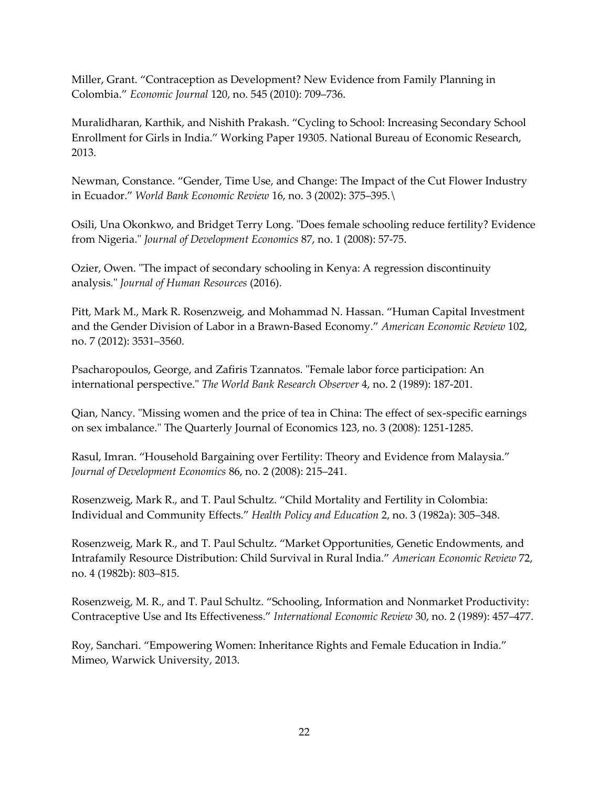Miller, Grant. "Contraception as Development? New Evidence from Family Planning in Colombia." *Economic Journal* 120, no. 545 (2010): 709–736.

Muralidharan, Karthik, and Nishith Prakash. "Cycling to School: Increasing Secondary School Enrollment for Girls in India." Working Paper 19305. National Bureau of Economic Research, 2013.

Newman, Constance. "Gender, Time Use, and Change: The Impact of the Cut Flower Industry in Ecuador." *World Bank Economic Review* 16, no. 3 (2002): 375–395.\

Osili, Una Okonkwo, and Bridget Terry Long. "Does female schooling reduce fertility? Evidence from Nigeria." *Journal of Development Economics* 87, no. 1 (2008): 57-75.

Ozier, Owen. "The impact of secondary schooling in Kenya: A regression discontinuity analysis*.*" *Journal of Human Resources* (2016).

Pitt, Mark M., Mark R. Rosenzweig, and Mohammad N. Hassan. "Human Capital Investment and the Gender Division of Labor in a Brawn-Based Economy." *American Economic Review* 102, no. 7 (2012): 3531–3560.

Psacharopoulos, George, and Zafiris Tzannatos. "Female labor force participation: An international perspective." *The World Bank Research Observer* 4, no. 2 (1989): 187-201.

Qian, Nancy. "Missing women and the price of tea in China: The effect of sex-specific earnings on sex imbalance." The Quarterly Journal of Economics 123, no. 3 (2008): 1251-1285.

Rasul, Imran. "Household Bargaining over Fertility: Theory and Evidence from Malaysia." *Journal of Development Economics* 86, no. 2 (2008): 215–241.

Rosenzweig, Mark R., and T. Paul Schultz. "Child Mortality and Fertility in Colombia: Individual and Community Effects." *Health Policy and Education* 2, no. 3 (1982a): 305–348.

Rosenzweig, Mark R., and T. Paul Schultz. "Market Opportunities, Genetic Endowments, and Intrafamily Resource Distribution: Child Survival in Rural India." *American Economic Review* 72, no. 4 (1982b): 803–815.

Rosenzweig, M. R., and T. Paul Schultz. "Schooling, Information and Nonmarket Productivity: Contraceptive Use and Its Effectiveness." *International Economic Review* 30, no. 2 (1989): 457–477.

Roy, Sanchari. "Empowering Women: Inheritance Rights and Female Education in India." Mimeo, Warwick University, 2013.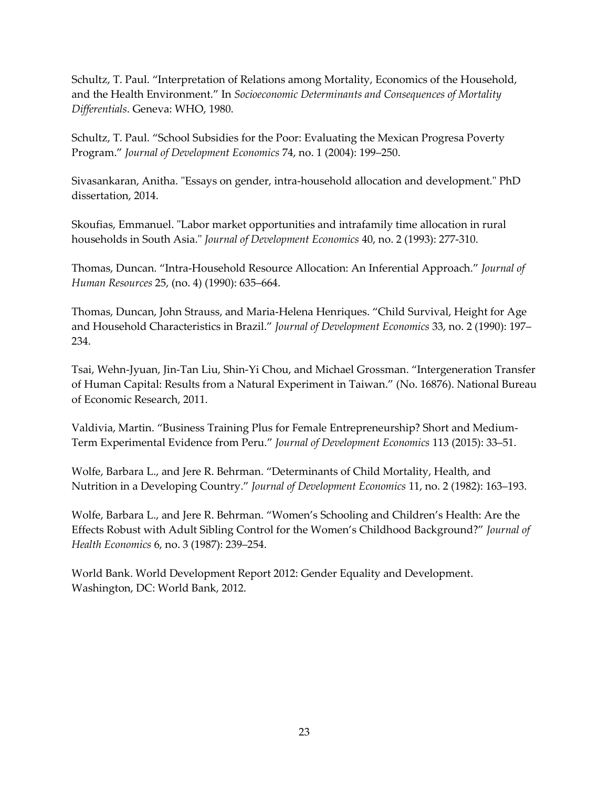Schultz, T. Paul. "Interpretation of Relations among Mortality, Economics of the Household, and the Health Environment." In *Socioeconomic Determinants and Consequences of Mortality Differentials*. Geneva: WHO, 1980.

Schultz, T. Paul. "School Subsidies for the Poor: Evaluating the Mexican Progresa Poverty Program." *Journal of Development Economics* 74, no. 1 (2004): 199–250.

Sivasankaran, Anitha. "Essays on gender, intra-household allocation and development." PhD dissertation, 2014.

Skoufias, Emmanuel. "Labor market opportunities and intrafamily time allocation in rural households in South Asia." *Journal of Development Economics* 40, no. 2 (1993): 277-310.

Thomas, Duncan. "Intra-Household Resource Allocation: An Inferential Approach." *Journal of Human Resources* 25, (no. 4) (1990): 635–664.

Thomas, Duncan, John Strauss, and Maria-Helena Henriques. "Child Survival, Height for Age and Household Characteristics in Brazil." *Journal of Development Economics* 33, no. 2 (1990): 197– 234.

Tsai, Wehn-Jyuan, Jin-Tan Liu, Shin-Yi Chou, and Michael Grossman. "Intergeneration Transfer of Human Capital: Results from a Natural Experiment in Taiwan." (No. 16876). National Bureau of Economic Research, 2011.

Valdivia, Martin. "Business Training Plus for Female Entrepreneurship? Short and Medium-Term Experimental Evidence from Peru." *Journal of Development Economics* 113 (2015): 33–51.

Wolfe, Barbara L., and Jere R. Behrman. "Determinants of Child Mortality, Health, and Nutrition in a Developing Country." *Journal of Development Economics* 11, no. 2 (1982): 163–193.

Wolfe, Barbara L., and Jere R. Behrman. "Women's Schooling and Children's Health: Are the Effects Robust with Adult Sibling Control for the Women's Childhood Background?" *Journal of Health Economics* 6, no. 3 (1987): 239–254.

World Bank. World Development Report 2012: Gender Equality and Development. Washington, DC: World Bank, 2012.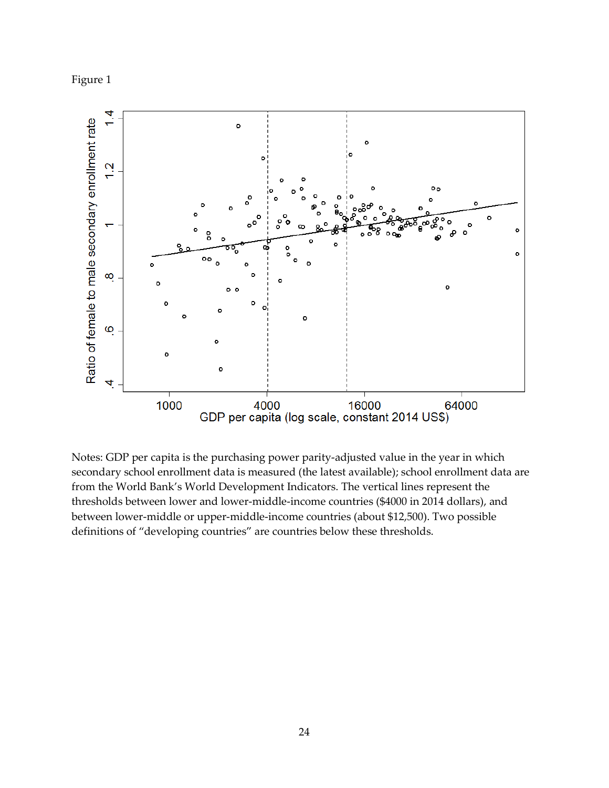



Notes: GDP per capita is the purchasing power parity-adjusted value in the year in which secondary school enrollment data is measured (the latest available); school enrollment data are from the World Bank's World Development Indicators. The vertical lines represent the thresholds between lower and lower-middle-income countries (\$4000 in 2014 dollars), and between lower-middle or upper-middle-income countries (about \$12,500). Two possible definitions of "developing countries" are countries below these thresholds.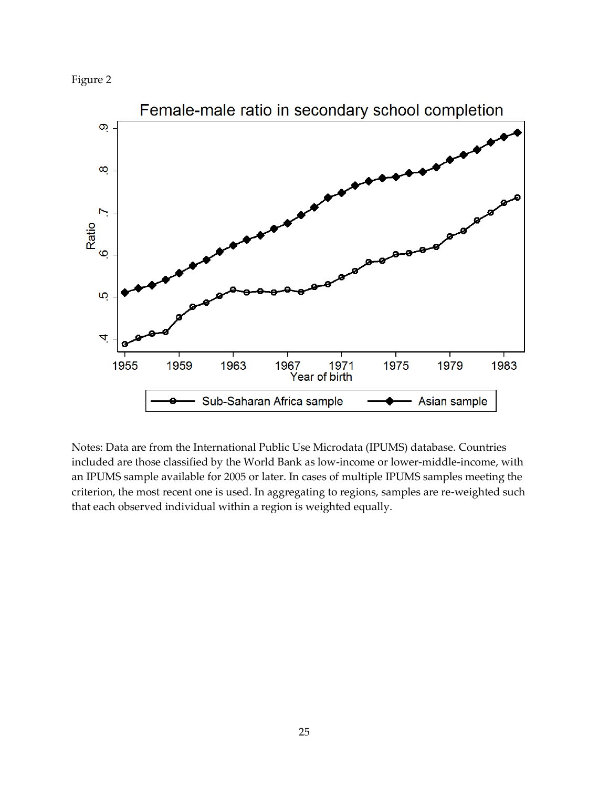



Notes: Data are from the International Public Use Microdata (IPUMS) database. Countries included are those classified by the World Bank as low-income or lower-middle-income, with an IPUMS sample available for 2005 or later. In cases of multiple IPUMS samples meeting the criterion, the most recent one is used. In aggregating to regions, samples are re-weighted such that each observed individual within a region is weighted equally.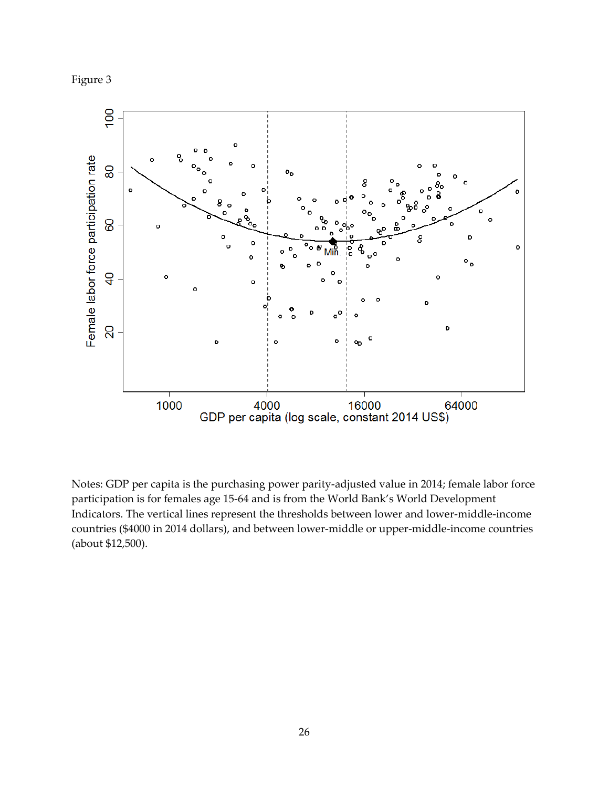



Notes: GDP per capita is the purchasing power parity-adjusted value in 2014; female labor force participation is for females age 15-64 and is from the World Bank's World Development Indicators. The vertical lines represent the thresholds between lower and lower-middle-income countries (\$4000 in 2014 dollars), and between lower-middle or upper-middle-income countries (about \$12,500).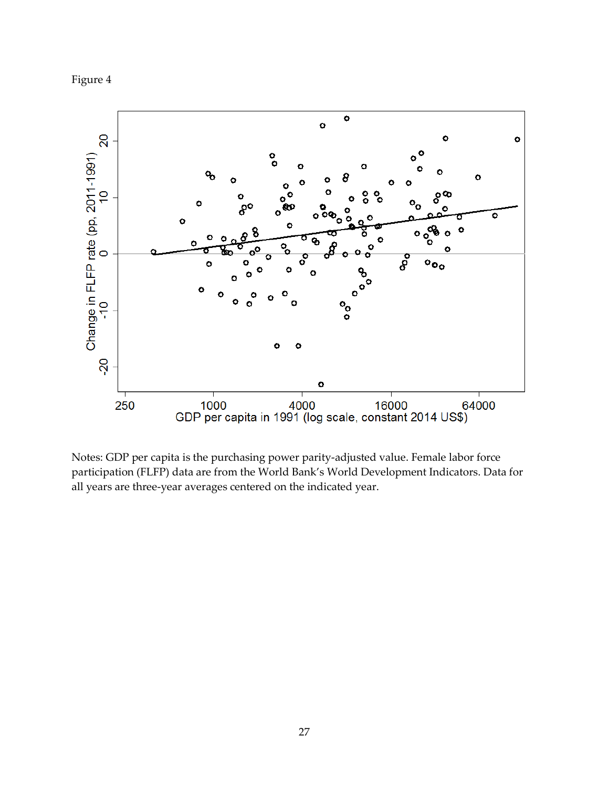



Notes: GDP per capita is the purchasing power parity-adjusted value. Female labor force participation (FLFP) data are from the World Bank's World Development Indicators. Data for all years are three-year averages centered on the indicated year.